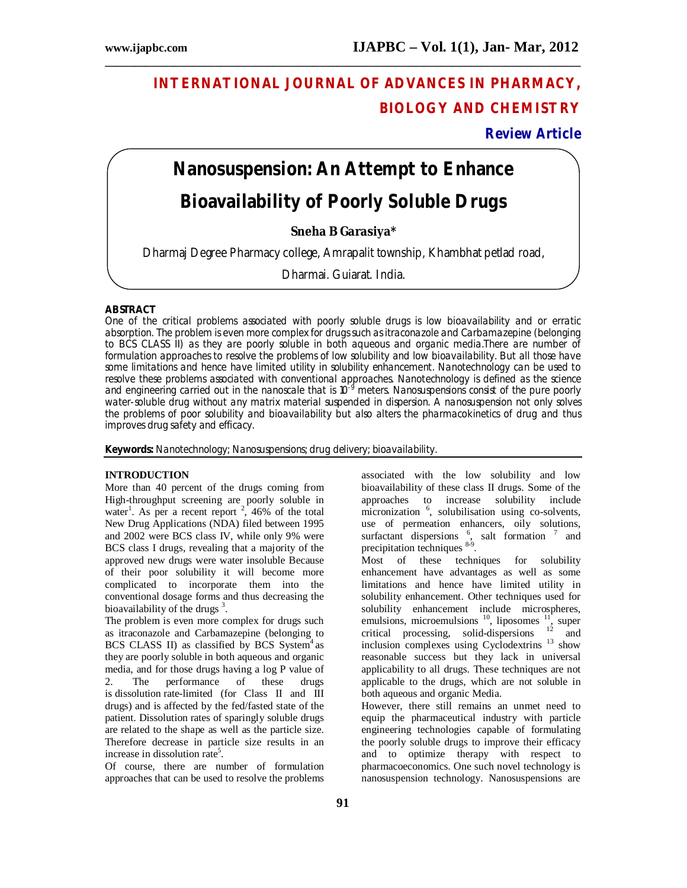## **INTERNATIONAL JOURNAL OF ADVANCES IN PHARMACY, BIOLOGY AND CHEMISTRY**

## **Review Article**

# **Nanosuspension: An Attempt to Enhance Bioavailability of Poorly Soluble Drugs**

**\_\_\_\_\_\_\_\_\_\_\_\_\_\_\_\_\_\_\_\_\_\_\_\_\_\_\_\_\_\_\_\_\_\_\_\_\_\_\_\_\_\_\_\_\_\_\_\_\_\_\_\_\_\_\_\_\_\_\_\_\_\_\_\_\_\_\_\_\_\_\_\_\_\_\_\_\_\_\_\_\_\_**

**Sneha B Garasiya\***

Dharmaj Degree Pharmacy college, Amrapalit township, Khambhat petlad road,

Dharmaj, Gujarat, India.

## **ABSTRACT**

One of the critical problems associated with poorly soluble drugs is low bioavailability and or erratic absorption. The problem is even more complex for drugs such as itraconazole and Carbamazepine (belonging to BCS CLASS II) as they are poorly soluble in both aqueous and organic media.There are number of formulation approaches to resolve the problems of low solubility and low bioavailability. But all those have some limitations and hence have limited utility in solubility enhancement. Nanotechnology can be used to resolve these problems associated with conventional approaches. Nanotechnology is defined as the science and engineering carried out in the nanoscale that is 10<sup>-9</sup> meters. Nanosuspensions consist of the pure poorly water-soluble drug without any matrix material suspended in dispersion. A nanosuspension not only solves the problems of poor solubility and bioavailability but also alters the pharmacokinetics of drug and thus improves drug safety and efficacy.

**Keywords:** Nanotechnology; Nanosuspensions; drug delivery; bioavailability.

## **INTRODUCTION**

More than 40 percent of the drugs coming from High-throughput screening are poorly soluble in water<sup>1</sup>. As per a recent report  $2,46\%$  of the total New Drug Applications (NDA) filed between 1995 and 2002 were BCS class IV, while only 9% were BCS class I drugs, revealing that a majority of the approved new drugs were water insoluble Because of their poor solubility it will become more complicated to incorporate them into the conventional dosage forms and thus decreasing the bioavailability of the drugs<sup>3</sup>.

The problem is even more complex for drugs such as itraconazole and Carbamazepine (belonging to BCS CLASS II) as classified by BCS System<sup>4</sup> as they are poorly soluble in both aqueous and organic media, and for those drugs having a log P value of 2. The performance of these drugs 2. The performance of these drugs is dissolution rate-limited (for Class II and III drugs) and is affected by the fed/fasted state of the patient. Dissolution rates of sparingly soluble drugs are related to the shape as well as the particle size. Therefore decrease in particle size results in an increase in dissolution rate<sup>5</sup>.

Of course, there are number of formulation approaches that can be used to resolve the problems

associated with the low solubility and low bioavailability of these class II drugs. Some of the approaches to increase solubility include micronization <sup>6</sup>, solubilisation using co-solvents, use of permeation enhancers, oily solutions, surfactant dispersions  $6$ , salt formation  $7$  and precipitation techniques <sup>8-9</sup>. Most of these techniques for solubility enhancement have advantages as well as some

limitations and hence have limited utility in solubility enhancement. Other techniques used for solubility enhancement include microspheres, emulsions, microemulsions  $^{10}$ , liposomes  $^{11}$ , super critical processing, solid-dispersions  $12$  and inclusion complexes using Cyclodextrins <sup>13</sup> show reasonable success but they lack in universal applicability to all drugs. These techniques are not applicable to the drugs, which are not soluble in both aqueous and organic Media.

However, there still remains an unmet need to equip the pharmaceutical industry with particle engineering technologies capable of formulating the poorly soluble drugs to improve their efficacy and to optimize therapy with respect to pharmacoeconomics. One such novel technology is nanosuspension technology. Nanosuspensions are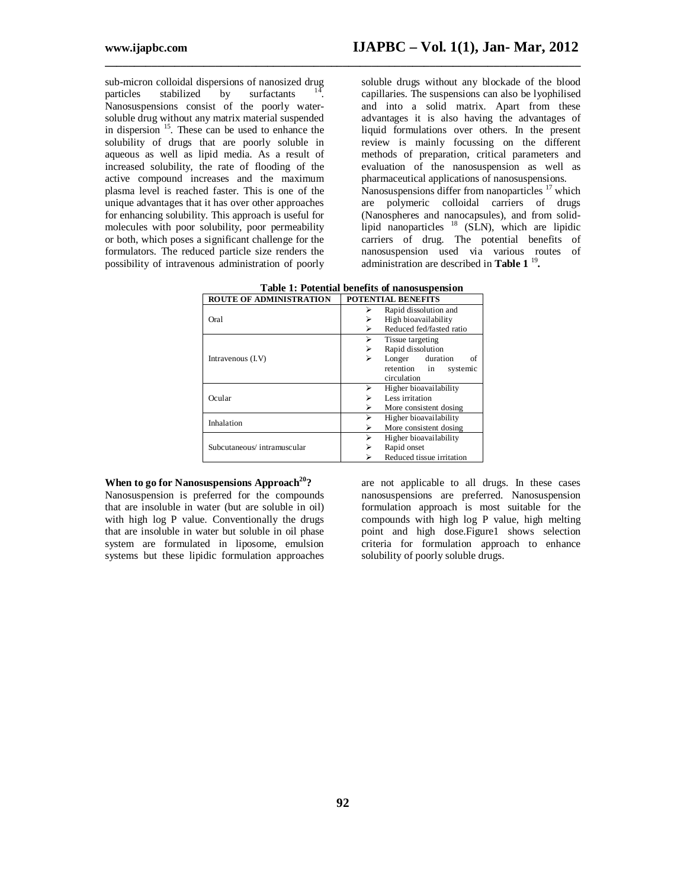sub-micron colloidal dispersions of nanosized drug<br>particles stabilized by surfactants  $14$ . particles stabilized by surfactants . Nanosuspensions consist of the poorly watersoluble drug without any matrix material suspended in dispersion <sup>15</sup>. These can be used to enhance the solubility of drugs that are poorly soluble in aqueous as well as lipid media. As a result of increased solubility, the rate of flooding of the active compound increases and the maximum plasma level is reached faster. This is one of the unique advantages that it has over other approaches for enhancing solubility. This approach is useful for molecules with poor solubility, poor permeability or both, which poses a significant challenge for the formulators. The reduced particle size renders the possibility of intravenous administration of poorly

soluble drugs without any blockade of the blood capillaries. The suspensions can also be lyophilised and into a solid matrix. Apart from these advantages it is also having the advantages of liquid formulations over others. In the present review is mainly focussing on the different methods of preparation, critical parameters and evaluation of the nanosuspension as well as pharmaceutical applications of nanosuspensions. Nanosuspensions differ from nanoparticles <sup>17</sup> which are polymeric colloidal carriers of drugs (Nanospheres and nanocapsules), and from solidlipid nanoparticles <sup>18</sup> (SLN), which are lipidic carriers of drug. The potential benefits of nanosuspension used via various routes of administration are described in **Table 1** <sup>19</sup> **.**

| <b>ROUTE OF ADMINISTRATION</b> | <b>POTENTIAL BENEFITS</b>     |  |
|--------------------------------|-------------------------------|--|
|                                | Rapid dissolution and         |  |
| Oral                           | High bioavailability<br>⋗     |  |
|                                | Reduced fed/fasted ratio<br>⋗ |  |
| Intravenous (I.V)              | Tissue targeting              |  |
|                                | Rapid dissolution<br>⋗        |  |
|                                | Longer<br>duration<br>⋗<br>οf |  |
|                                | retention<br>in<br>systemic   |  |
|                                | circulation                   |  |
| Ocular                         | Higher bioavailability        |  |
|                                | Less irritation<br>⋗          |  |
|                                | More consistent dosing<br>⋗   |  |
| Inhalation                     | Higher bioavailability<br>⋗   |  |
|                                | More consistent dosing<br>⋗   |  |
|                                | Higher bioavailability        |  |
| Subcutaneous/intramuscular     | Rapid onset<br>⋗              |  |
|                                | Reduced tissue irritation     |  |

| Table 1: Potential benefits of nanosuspension |  |
|-----------------------------------------------|--|
|-----------------------------------------------|--|

**\_\_\_\_\_\_\_\_\_\_\_\_\_\_\_\_\_\_\_\_\_\_\_\_\_\_\_\_\_\_\_\_\_\_\_\_\_\_\_\_\_\_\_\_\_\_\_\_\_\_\_\_\_\_\_\_\_\_\_\_\_\_\_\_\_\_\_\_\_\_\_\_\_\_\_\_\_\_\_\_\_\_**

#### **When to go for Nanosuspensions Approach<sup>20</sup>?**

Nanosuspension is preferred for the compounds that are insoluble in water (but are soluble in oil) with high log P value. Conventionally the drugs that are insoluble in water but soluble in oil phase system are formulated in liposome, emulsion systems but these lipidic formulation approaches

are not applicable to all drugs. In these cases nanosuspensions are preferred. Nanosuspension formulation approach is most suitable for the compounds with high log P value, high melting point and high dose.Figure1 shows selection criteria for formulation approach to enhance solubility of poorly soluble drugs.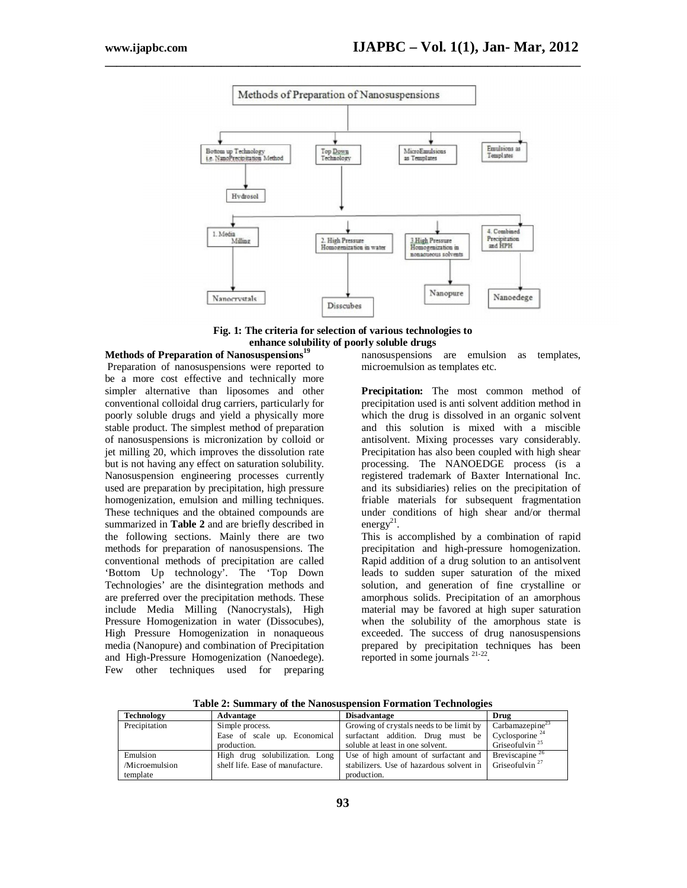

**\_\_\_\_\_\_\_\_\_\_\_\_\_\_\_\_\_\_\_\_\_\_\_\_\_\_\_\_\_\_\_\_\_\_\_\_\_\_\_\_\_\_\_\_\_\_\_\_\_\_\_\_\_\_\_\_\_\_\_\_\_\_\_\_\_\_\_\_\_\_\_\_\_\_\_\_\_\_\_\_\_\_**

**Fig. 1: The criteria for selection of various technologies to enhance solubility of poorly soluble drugs**

## **Methods of Preparation of Nanosuspensions<sup>19</sup>**

Preparation of nanosuspensions were reported to be a more cost effective and technically more simpler alternative than liposomes and other conventional colloidal drug carriers, particularly for poorly soluble drugs and yield a physically more stable product. The simplest method of preparation of nanosuspensions is micronization by colloid or jet milling 20, which improves the dissolution rate but is not having any effect on saturation solubility. Nanosuspension engineering processes currently used are preparation by precipitation, high pressure homogenization, emulsion and milling techniques. These techniques and the obtained compounds are summarized in **Table 2** and are briefly described in the following sections. Mainly there are two methods for preparation of nanosuspensions. The conventional methods of precipitation are called 'Bottom Up technology'. The 'Top Down Technologies' are the disintegration methods and are preferred over the precipitation methods. These include Media Milling (Nanocrystals), High Pressure Homogenization in water (Dissocubes), High Pressure Homogenization in nonaqueous media (Nanopure) and combination of Precipitation and High-Pressure Homogenization (Nanoedege). Few other techniques used for preparing

nanosuspensions are emulsion as templates, microemulsion as templates etc.

Precipitation: The most common method of precipitation used is anti solvent addition method in which the drug is dissolved in an organic solvent and this solution is mixed with a miscible antisolvent. Mixing processes vary considerably. Precipitation has also been coupled with high shear processing. The NANOEDGE process (is a registered trademark of Baxter International Inc. and its subsidiaries) relies on the precipitation of friable materials for subsequent fragmentation under conditions of high shear and/or thermal energy<sup>21</sup>.

This is accomplished by a combination of rapid precipitation and high-pressure homogenization. Rapid addition of a drug solution to an antisolvent leads to sudden super saturation of the mixed solution, and generation of fine crystalline or amorphous solids. Precipitation of an amorphous material may be favored at high super saturation when the solubility of the amorphous state is exceeded. The success of drug nanosuspensions prepared by precipitation techniques has been reported in some journals<sup>21-22</sup>.

| Technology     | Advantage                        | <b>Disadvantage</b>                                                        | Drug                        |
|----------------|----------------------------------|----------------------------------------------------------------------------|-----------------------------|
| Precipitation  | Simple process.                  | Growing of crystals needs to be limit by                                   | Carbanazepine <sup>23</sup> |
|                | Ease of scale up. Economical     | surfactant addition. Drug must be                                          | Cyclosporine <sup>24</sup>  |
|                | production.                      | soluble at least in one solvent.                                           | Grise of ulvin $^{25}$      |
| Emulsion       | High drug solubilization. Long   | Use of high amount of surfactant and                                       | Breviscapine <sup>26</sup>  |
| /Microemulsion | shelf life. Ease of manufacture. | stabilizers. Use of hazardous solvent in $\int$ Griseofulvin <sup>27</sup> |                             |
| template       |                                  | production.                                                                |                             |

**Table 2: Summary of the Nanosuspension Formation Technologies**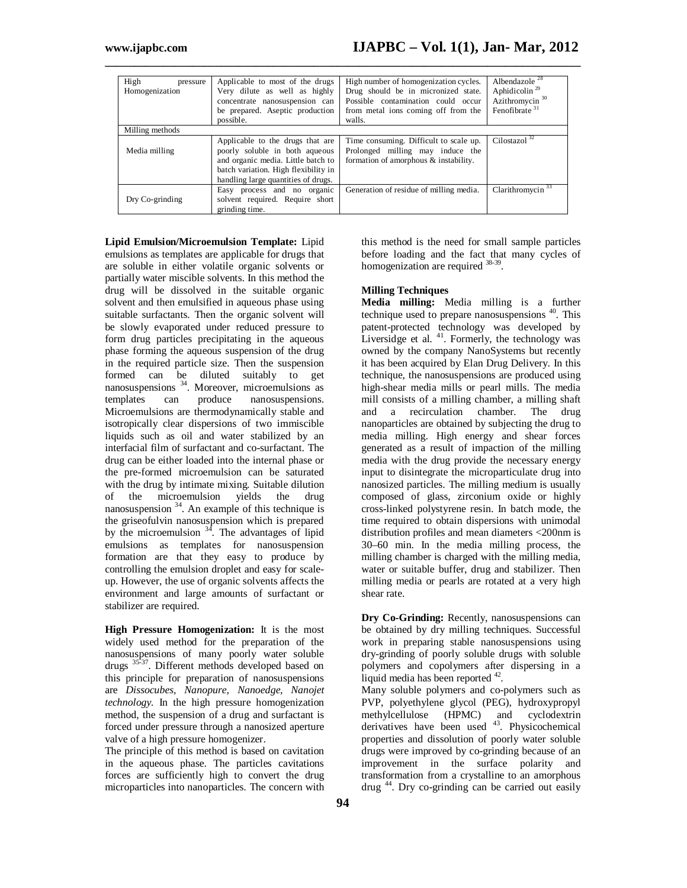| High<br>pressure<br>Homogenization | Applicable to most of the drugs<br>Very dilute as well as highly<br>concentrate nanosuspension can<br>be prepared. Aseptic production<br>possible.                                      | High number of homogenization cycles.<br>Drug should be in micronized state.<br>Possible contamination could occur<br>from metal ions coming off from the<br>walls. | Albendazole <sup>28</sup><br>Aphidicolin <sup>29</sup><br>Azithromycin <sup>30</sup><br>Fenofibrate $31$ |  |  |
|------------------------------------|-----------------------------------------------------------------------------------------------------------------------------------------------------------------------------------------|---------------------------------------------------------------------------------------------------------------------------------------------------------------------|----------------------------------------------------------------------------------------------------------|--|--|
| Milling methods                    |                                                                                                                                                                                         |                                                                                                                                                                     |                                                                                                          |  |  |
| Media milling                      | Applicable to the drugs that are<br>poorly soluble in both aqueous<br>and organic media. Little batch to<br>batch variation. High flexibility in<br>handling large quantities of drugs. | Time consuming. Difficult to scale up.<br>Prolonged milling may induce the<br>formation of amorphous & instability.                                                 | Cilostazol $32$                                                                                          |  |  |
| Dry Co-grinding                    | Easy process and no organic<br>solvent required. Require short<br>grinding time.                                                                                                        | Generation of residue of milling media.                                                                                                                             | Clarithromycin $33$                                                                                      |  |  |

**\_\_\_\_\_\_\_\_\_\_\_\_\_\_\_\_\_\_\_\_\_\_\_\_\_\_\_\_\_\_\_\_\_\_\_\_\_\_\_\_\_\_\_\_\_\_\_\_\_\_\_\_\_\_\_\_\_\_\_\_\_\_\_\_\_\_\_\_\_\_\_\_\_\_\_\_\_\_\_\_\_\_**

**Lipid Emulsion/Microemulsion Template:** Lipid emulsions as templates are applicable for drugs that are soluble in either volatile organic solvents or partially water miscible solvents. In this method the drug will be dissolved in the suitable organic solvent and then emulsified in aqueous phase using suitable surfactants. Then the organic solvent will be slowly evaporated under reduced pressure to form drug particles precipitating in the aqueous phase forming the aqueous suspension of the drug in the required particle size. Then the suspension formed can be diluted suitably to get nanosuspensions <sup>34</sup>. Moreover, microemulsions as templates can produce nanosuspensions. Microemulsions are thermodynamically stable and isotropically clear dispersions of two immiscible liquids such as oil and water stabilized by an interfacial film of surfactant and co-surfactant. The drug can be either loaded into the internal phase or the pre-formed microemulsion can be saturated with the drug by intimate mixing. Suitable dilution of the microemulsion yields the drug nanosuspension <sup>34</sup>. An example of this technique is the griseofulvin nanosuspension which is prepared by the microemulsion  $34$ . The advantages of lipid emulsions as templates for nanosuspension formation are that they easy to produce by controlling the emulsion droplet and easy for scaleup. However, the use of organic solvents affects the environment and large amounts of surfactant or stabilizer are required.

**High Pressure Homogenization:** It is the most widely used method for the preparation of the nanosuspensions of many poorly water soluble drugs 35-37. Different methods developed based on this principle for preparation of nanosuspensions are *Dissocubes, Nanopure, Nanoedge, Nanojet technology.* In the high pressure homogenization method, the suspension of a drug and surfactant is forced under pressure through a nanosized aperture valve of a high pressure homogenizer.

The principle of this method is based on cavitation in the aqueous phase. The particles cavitations forces are sufficiently high to convert the drug microparticles into nanoparticles. The concern with this method is the need for small sample particles before loading and the fact that many cycles of homogenization are required <sup>38-39</sup>.

## **Milling Techniques**

**Media milling:** Media milling is a further technique used to prepare nanosuspensions <sup>40</sup>. This patent-protected technology was developed by Liversidge et al. <sup>41</sup>. Formerly, the technology was owned by the company NanoSystems but recently it has been acquired by Elan Drug Delivery. In this technique, the nanosuspensions are produced using high-shear media mills or pearl mills. The media mill consists of a milling chamber, a milling shaft and a recirculation chamber. The drug nanoparticles are obtained by subjecting the drug to media milling. High energy and shear forces generated as a result of impaction of the milling media with the drug provide the necessary energy input to disintegrate the microparticulate drug into nanosized particles. The milling medium is usually composed of glass, zirconium oxide or highly cross-linked polystyrene resin. In batch mode, the time required to obtain dispersions with unimodal distribution profiles and mean diameters <200nm is 30–60 min. In the media milling process, the milling chamber is charged with the milling media, water or suitable buffer, drug and stabilizer. Then milling media or pearls are rotated at a very high shear rate.

**Dry Co-Grinding:** Recently, nanosuspensions can be obtained by dry milling techniques. Successful work in preparing stable nanosuspensions using dry-grinding of poorly soluble drugs with soluble polymers and copolymers after dispersing in a liquid media has been reported <sup>42</sup>.

Many soluble polymers and co-polymers such as PVP, polyethylene glycol (PEG), hydroxypropyl methylcellulose (HPMC) and cyclodextrin derivatives have been used <sup>43</sup>. Physicochemical properties and dissolution of poorly water soluble drugs were improved by co-grinding because of an improvement in the surface polarity and transformation from a crystalline to an amorphous drug <sup>44</sup>. Dry co-grinding can be carried out easily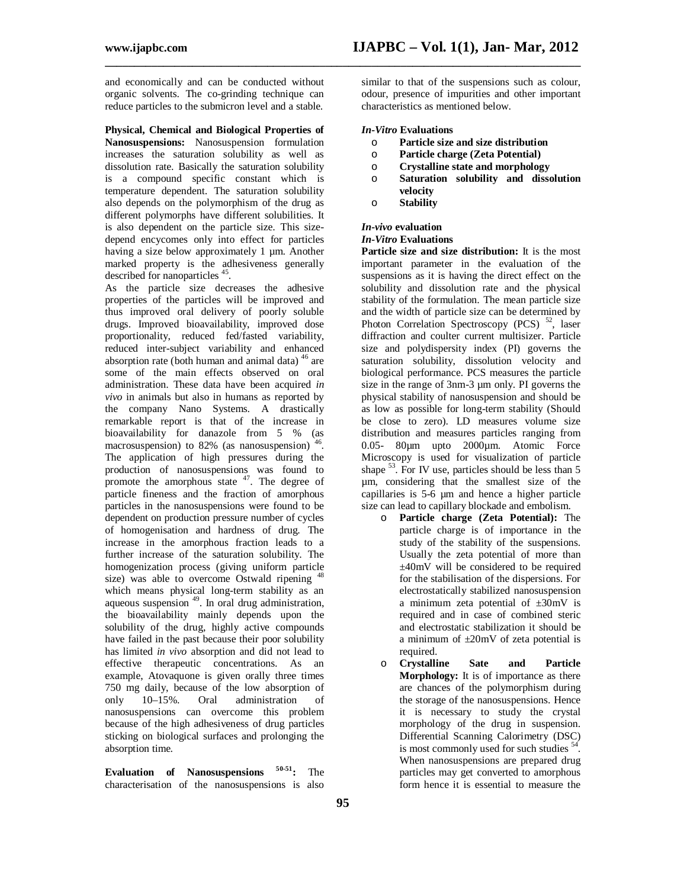and economically and can be conducted without organic solvents. The co-grinding technique can reduce particles to the submicron level and a stable.

**Physical, Chemical and Biological Properties of Nanosuspensions:** Nanosuspension formulation increases the saturation solubility as well as dissolution rate. Basically the saturation solubility is a compound specific constant which is temperature dependent. The saturation solubility also depends on the polymorphism of the drug as different polymorphs have different solubilities. It is also dependent on the particle size. This sizedepend encycomes only into effect for particles having a size below approximately 1 µm. Another marked property is the adhesiveness generally described for nanoparticles <sup>45</sup>.

As the particle size decreases the adhesive properties of the particles will be improved and thus improved oral delivery of poorly soluble drugs. Improved bioavailability, improved dose proportionality, reduced fed/fasted variability, reduced inter-subject variability and enhanced absorption rate (both human and animal data)<sup>46</sup> are some of the main effects observed on oral administration. These data have been acquired *in vivo* in animals but also in humans as reported by the company Nano Systems. A drastically remarkable report is that of the increase in bioavailability for danazole from 5 % (as macrosuspension) to 82% (as nanosuspension) <sup>46</sup>. The application of high pressures during the production of nanosuspensions was found to promote the amorphous state  $47$ . The degree of particle fineness and the fraction of amorphous particles in the nanosuspensions were found to be dependent on production pressure number of cycles of homogenisation and hardness of drug. The increase in the amorphous fraction leads to a further increase of the saturation solubility. The homogenization process (giving uniform particle size) was able to overcome Ostwald ripening <sup>48</sup> which means physical long-term stability as an aqueous suspension<sup>49</sup>. In oral drug administration, the bioavailability mainly depends upon the solubility of the drug, highly active compounds have failed in the past because their poor solubility has limited *in vivo* absorption and did not lead to effective therapeutic concentrations. As an example, Atovaquone is given orally three times 750 mg daily, because of the low absorption of only 10–15%. Oral administration of nanosuspensions can overcome this problem because of the high adhesiveness of drug particles sticking on biological surfaces and prolonging the absorption time.

**Evaluation of Nanosuspensions 50-51:** The characterisation of the nanosuspensions is also

similar to that of the suspensions such as colour, odour, presence of impurities and other important characteristics as mentioned below.

#### *In-Vitro* **Evaluations**

**\_\_\_\_\_\_\_\_\_\_\_\_\_\_\_\_\_\_\_\_\_\_\_\_\_\_\_\_\_\_\_\_\_\_\_\_\_\_\_\_\_\_\_\_\_\_\_\_\_\_\_\_\_\_\_\_\_\_\_\_\_\_\_\_\_\_\_\_\_\_\_\_\_\_\_\_\_\_\_\_\_\_**

- o **Particle size and size distribution**
- o **Particle charge (Zeta Potential)**
- o **Crystalline state and morphology**
- o **Saturation solubility and dissolution velocity**
- o **Stability**

#### *In-vivo* **evaluation**

#### *In-Vitro* **Evaluations**

**Particle size and size distribution:** It is the most important parameter in the evaluation of the suspensions as it is having the direct effect on the solubility and dissolution rate and the physical stability of the formulation. The mean particle size and the width of particle size can be determined by Photon Correlation Spectroscopy (PCS)  $52$ , laser diffraction and coulter current multisizer. Particle size and polydispersity index (PI) governs the saturation solubility, dissolution velocity and biological performance. PCS measures the particle size in the range of 3nm-3 um only. PI governs the physical stability of nanosuspension and should be as low as possible for long-term stability (Should be close to zero). LD measures volume size distribution and measures particles ranging from 0.05- 80µm upto 2000µm. Atomic Force Microscopy is used for visualization of particle shape  $53$ . For IV use, particles should be less than 5 µm, considering that the smallest size of the capillaries is 5-6 µm and hence a higher particle size can lead to capillary blockade and embolism.

- o **Particle charge (Zeta Potential):** The particle charge is of importance in the study of the stability of the suspensions. Usually the zeta potential of more than ±40mV will be considered to be required for the stabilisation of the dispersions. For electrostatically stabilized nanosuspension a minimum zeta potential of  $\pm 30$ mV is required and in case of combined steric and electrostatic stabilization it should be a minimum of  $\pm 20$ mV of zeta potential is required.
- o **Crystalline Sate and Particle Morphology:** It is of importance as there are chances of the polymorphism during the storage of the nanosuspensions. Hence it is necessary to study the crystal morphology of the drug in suspension. Differential Scanning Calorimetry (DSC) is most commonly used for such studies <sup>54</sup>. When nanosuspensions are prepared drug particles may get converted to amorphous form hence it is essential to measure the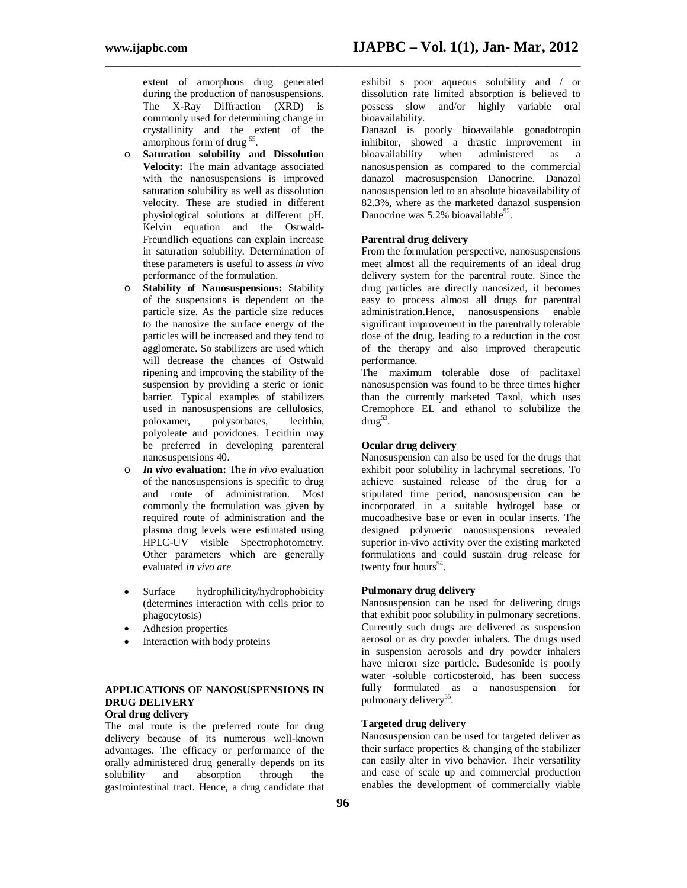**www.ijapbc.com IJAPBC – Vol. 1(1), Jan- Mar, 2012**

extent of amorphous drug generated during the production of nanosuspensions. The X-Ray Diffraction (XRD) is commonly used for determining change in crystallinity and the extent of the amorphous form of drug<sup>55</sup>.

- o **Saturation solubility and Dissolution Velocity:** The main advantage associated with the nanosuspensions is improved saturation solubility as well as dissolution velocity. These are studied in different physiological solutions at different pH. Kelvin equation and the Ostwald-Freundlich equations can explain increase in saturation solubility. Determination of these parameters is useful to assess *in vivo*  performance of the formulation.
- o **Stability of Nanosuspensions:** Stability of the suspensions is dependent on the particle size. As the particle size reduces to the nanosize the surface energy of the particles will be increased and they tend to agglomerate. So stabilizers are used which will decrease the chances of Ostwald ripening and improving the stability of the suspension by providing a steric or ionic barrier. Typical examples of stabilizers used in nanosuspensions are cellulosics, poloxamer, polysorbates, lecithin, polyoleate and povidones. Lecithin may be preferred in developing parenteral nanosuspensions 40.
- o *In vivo* **evaluation:** The *in vivo* evaluation of the nanosuspensions is specific to drug and route of administration. Most commonly the formulation was given by required route of administration and the plasma drug levels were estimated using HPLC-UV visible Spectrophotometry. Other parameters which are generally evaluated *in vivo are*
- Surface hydrophilicity/hydrophobicity (determines interaction with cells prior to phagocytosis)
- Adhesion properties
- Interaction with body proteins

#### **APPLICATIONS OF NANOSUSPENSIONS IN DRUG DELIVERY Oral drug delivery**

The oral route is the preferred route for drug delivery because of its numerous well-known advantages. The efficacy or performance of the orally administered drug generally depends on its<br>solubility and absorption through the absorption through the gastrointestinal tract. Hence, a drug candidate that

exhibit s poor aqueous solubility and / or dissolution rate limited absorption is believed to possess slow and/or highly variable oral bioavailability.

Danazol is poorly bioavailable gonadotropin inhibitor, showed a drastic improvement in bioavailability when administered as a bioavailability when administered as a nanosuspension as compared to the commercial danazol macrosuspension Danocrine. Danazol nanosuspension led to an absolute bioavailability of 82.3%, where as the marketed danazol suspension Danocrine was  $5.2\%$  bioavailable<sup>52</sup>.

#### **Parentral drug delivery**

**\_\_\_\_\_\_\_\_\_\_\_\_\_\_\_\_\_\_\_\_\_\_\_\_\_\_\_\_\_\_\_\_\_\_\_\_\_\_\_\_\_\_\_\_\_\_\_\_\_\_\_\_\_\_\_\_\_\_\_\_\_\_\_\_\_\_\_\_\_\_\_\_\_\_\_\_\_\_\_\_\_\_**

From the formulation perspective, nanosuspensions meet almost all the requirements of an ideal drug delivery system for the parentral route. Since the drug particles are directly nanosized, it becomes easy to process almost all drugs for parentral administration.Hence, nanosuspensions enable significant improvement in the parentrally tolerable dose of the drug, leading to a reduction in the cost of the therapy and also improved therapeutic performance.

The maximum tolerable dose of paclitaxel nanosuspension was found to be three times higher than the currently marketed Taxol, which uses Cremophore EL and ethanol to solubilize the  $d$ rug $^{53}$ .

## **Ocular drug delivery**

Nanosuspension can also be used for the drugs that exhibit poor solubility in lachrymal secretions. To achieve sustained release of the drug for a stipulated time period, nanosuspension can be incorporated in a suitable hydrogel base or mucoadhesive base or even in ocular inserts. The designed polymeric nanosuspensions revealed superior in-vivo activity over the existing marketed formulations and could sustain drug release for twenty four hours<sup>54</sup> .

#### **Pulmonary drug delivery**

Nanosuspension can be used for delivering drugs that exhibit poor solubility in pulmonary secretions. Currently such drugs are delivered as suspension aerosol or as dry powder inhalers. The drugs used in suspension aerosols and dry powder inhalers have micron size particle. Budesonide is poorly water -soluble corticosteroid, has been success fully formulated as a nanosuspension for pulmonary delivery<sup>55</sup>.

#### **Targeted drug delivery**

Nanosuspension can be used for targeted deliver as their surface properties & changing of the stabilizer can easily alter in vivo behavior. Their versatility and ease of scale up and commercial production enables the development of commercially viable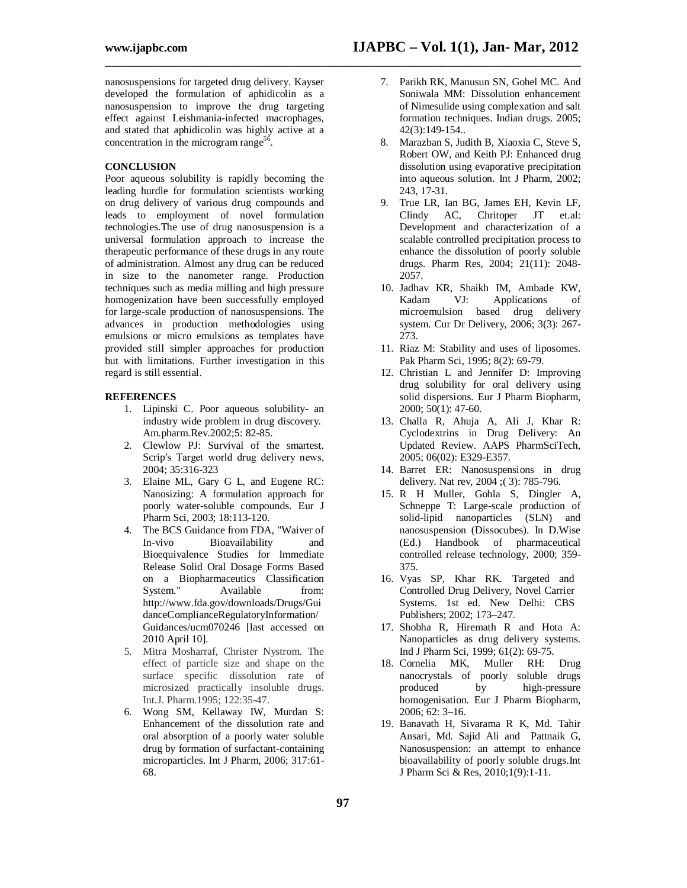**\_\_\_\_\_\_\_\_\_\_\_\_\_\_\_\_\_\_\_\_\_\_\_\_\_\_\_\_\_\_\_\_\_\_\_\_\_\_\_\_\_\_\_\_\_\_\_\_\_\_\_\_\_\_\_\_\_\_\_\_\_\_\_\_\_\_\_\_\_\_\_\_\_\_\_\_\_\_\_\_\_\_**

nanosuspensions for targeted drug delivery. Kayser developed the formulation of aphidicolin as a nanosuspension to improve the drug targeting effect against Leishmania-infected macrophages, and stated that aphidicolin was highly active at a concentration in the microgram range<sup>56</sup>.

#### **CONCLUSION**

Poor aqueous solubility is rapidly becoming the leading hurdle for formulation scientists working on drug delivery of various drug compounds and leads to employment of novel formulation technologies.The use of drug nanosuspension is a universal formulation approach to increase the therapeutic performance of these drugs in any route of administration. Almost any drug can be reduced in size to the nanometer range. Production techniques such as media milling and high pressure homogenization have been successfully employed for large-scale production of nanosuspensions. The advances in production methodologies using emulsions or micro emulsions as templates have provided still simpler approaches for production but with limitations. Further investigation in this regard is still essential.

#### **REFERENCES**

- 1. Lipinski C. Poor aqueous solubility- an industry wide problem in drug discovery. Am.pharm.Rev.2002;5: 82-85.
- 2. Clewlow PJ: Survival of the smartest. Scrip′s Target world drug delivery news, 2004; 35:316-323
- 3. Elaine ML, Gary G L, and Eugene RC: Nanosizing: A formulation approach for poorly water-soluble compounds. Eur J Pharm Sci, 2003; 18:113-120.
- 4. The BCS Guidance from FDA, "Waiver of In-vivo Bioavailability and Bioequivalence Studies for Immediate Release Solid Oral Dosage Forms Based on a Biopharmaceutics Classification<br>System." Available from: Available from: http://www.fda.gov/downloads/Drugs/Gui danceComplianceRegulatoryInformation/ Guidances/ucm070246 [last accessed on 2010 April 10].
- 5. Mitra Mosharraf, Christer Nystrom. The effect of particle size and shape on the surface specific dissolution rate of microsized practically insoluble drugs. Int.J. Pharm.1995; 122:35-47.
- 6. Wong SM, Kellaway IW, Murdan S: Enhancement of the dissolution rate and oral absorption of a poorly water soluble drug by formation of surfactant-containing microparticles. Int J Pharm, 2006; 317:61- 68.
- 7. Parikh RK, Manusun SN, Gohel MC. And Soniwala MM: Dissolution enhancement of Nimesulide using complexation and salt formation techniques. Indian drugs. 2005; 42(3):149-154..
- 8. Marazban S, Judith B, Xiaoxia C, Steve S, Robert OW, and Keith PJ: Enhanced drug dissolution using evaporative precipitation into aqueous solution. Int J Pharm, 2002; 243, 17-31.
- 9. True LR, Ian BG, James EH, Kevin LF, Clindy AC, Chritoper JT et.al: Development and characterization of a scalable controlled precipitation process to enhance the dissolution of poorly soluble drugs. Pharm Res, 2004; 21(11): 2048- 2057.
- 10. Jadhav KR, Shaikh IM, Ambade KW, Kadam VJ: Applications of microemulsion based drug delivery system. Cur Dr Delivery, 2006; 3(3): 267- 273.
- 11. Riaz M: Stability and uses of liposomes. Pak Pharm Sci, 1995; 8(2): 69-79.
- 12. Christian L and Jennifer D: Improving drug solubility for oral delivery using solid dispersions. Eur J Pharm Biopharm, 2000; 50(1): 47-60.
- 13. Challa R, Ahuja A, Ali J, Khar R: Cyclodextrins in Drug Delivery: An Updated Review. AAPS PharmSciTech, 2005; 06(02): E329-E357.
- 14. Barret ER: Nanosuspensions in drug delivery. Nat rev, 2004 ;( 3): 785-796.
- 15. R H Muller, Gohla S, Dingler A, Schneppe T: Large-scale production of solid-lipid nanoparticles (SLN) and nanosuspension (Dissocubes). In D.Wise (Ed.) Handbook of pharmaceutical controlled release technology, 2000; 359- 375.
- 16. Vyas SP, Khar RK. Targeted and Controlled Drug Delivery, Novel Carrier Systems. 1st ed. New Delhi: CBS Publishers; 2002; 173–247.
- 17. Shobha R, Hiremath R and Hota A: Nanoparticles as drug delivery systems. Ind J Pharm Sci, 1999; 61(2): 69-75.
- 18. Cornelia MK, Muller RH: Drug nanocrystals of poorly soluble drugs produced by high-pressure homogenisation. Eur J Pharm Biopharm, 2006; 62: 3–16.
- 19. Banavath H, Sivarama R K, Md. Tahir Ansari, Md. Sajid Ali and Pattnaik G, Nanosuspension: an attempt to enhance bioavailability of poorly soluble drugs.Int J Pharm Sci & Res, 2010;1(9):1-11.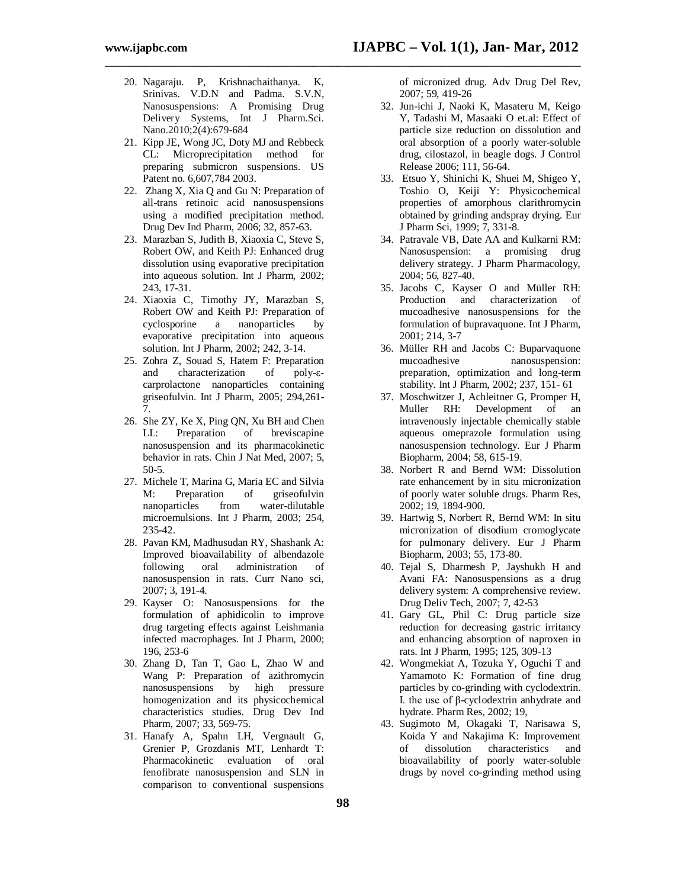20. Nagaraju. P, Krishnachaithanya. K, Srinivas. V.D.N and Padma. S.V.N, Nanosuspensions: A Promising Drug Delivery Systems, Int J Pharm.Sci. Nano.2010;2(4):679-684

**\_\_\_\_\_\_\_\_\_\_\_\_\_\_\_\_\_\_\_\_\_\_\_\_\_\_\_\_\_\_\_\_\_\_\_\_\_\_\_\_\_\_\_\_\_\_\_\_\_\_\_\_\_\_\_\_\_\_\_\_\_\_\_\_\_\_\_\_\_\_\_\_\_\_\_\_\_\_\_\_\_\_**

- 21. Kipp JE, Wong JC, Doty MJ and Rebbeck CL: Microprecipitation method for preparing submicron suspensions. US Patent no. 6,607,784 2003.
- 22. Zhang X, Xia Q and Gu N: Preparation of all-trans retinoic acid nanosuspensions using a modified precipitation method. Drug Dev Ind Pharm, 2006; 32, 857-63.
- 23. Marazban S, Judith B, Xiaoxia C, Steve S, Robert OW, and Keith PJ: Enhanced drug dissolution using evaporative precipitation into aqueous solution. Int J Pharm, 2002; 243, 17-31.
- 24. Xiaoxia C, Timothy JY, Marazban S, Robert OW and Keith PJ: Preparation of<br>cyclosporine a nanoparticles by cyclosporine a nanoparticles evaporative precipitation into aqueous solution. Int J Pharm, 2002; 242, 3-14.
- 25. Zohra Z, Souad S, Hatem F: Preparation and characterization of poly-εcarprolactone nanoparticles containing griseofulvin. Int J Pharm, 2005; 294,261- 7.
- 26. She ZY, Ke X, Ping QN, Xu BH and Chen LL: Preparation of breviscapine nanosuspension and its pharmacokinetic behavior in rats. Chin J Nat Med, 2007; 5, 50-5.
- 27. Michele T, Marina G, Maria EC and Silvia M: Preparation of griseofulvin nanoparticles from water-dilutable microemulsions. Int J Pharm, 2003; 254, 235-42.
- 28. Pavan KM, Madhusudan RY, Shashank A: Improved bioavailability of albendazole following oral administration of nanosuspension in rats. Curr Nano sci, 2007; 3, 191-4.
- 29. Kayser O: Nanosuspensions for the formulation of aphidicolin to improve drug targeting effects against Leishmania infected macrophages. Int J Pharm, 2000; 196, 253-6
- 30. Zhang D, Tan T, Gao L, Zhao W and Wang P: Preparation of azithromycin nanosuspensions by high pressure homogenization and its physicochemical characteristics studies. Drug Dev Ind Pharm, 2007; 33, 569-75.
- 31. Hanafy A, Spahn LH, Vergnault G, Grenier P, Grozdanis MT, Lenhardt T: Pharmacokinetic evaluation of oral fenofibrate nanosuspension and SLN in comparison to conventional suspensions

of micronized drug. Adv Drug Del Rev, 2007; 59, 419-26

- 32. Jun-ichi J, Naoki K, Masateru M, Keigo Y, Tadashi M, Masaaki O et.al: Effect of particle size reduction on dissolution and oral absorption of a poorly water-soluble drug, cilostazol, in beagle dogs. J Control Release 2006; 111, 56-64.
- 33. Etsuo Y, Shinichi K, Shuei M, Shigeo Y, Toshio O, Keiji Y: Physicochemical properties of amorphous clarithromycin obtained by grinding andspray drying. Eur J Pharm Sci, 1999; 7, 331-8.
- 34. Patravale VB, Date AA and Kulkarni RM: Nanosuspension: a promising drug delivery strategy. J Pharm Pharmacology, 2004; 56, 827-40.
- 35. Jacobs C, Kayser O and Müller RH: Production and characterization of mucoadhesive nanosuspensions for the formulation of bupravaquone. Int J Pharm, 2001; 214, 3-7
- 36. Müller RH and Jacobs C: Buparvaquone mucoadhesive nanosuspension: preparation, optimization and long-term stability. Int J Pharm, 2002; 237, 151- 61
- 37. Moschwitzer J, Achleitner G, Promper H, Muller RH: Development of an intravenously injectable chemically stable aqueous omeprazole formulation using nanosuspension technology. Eur J Pharm Biopharm, 2004; 58, 615-19.
- 38. Norbert R and Bernd WM: Dissolution rate enhancement by in situ micronization of poorly water soluble drugs. Pharm Res, 2002; 19, 1894-900.
- 39. Hartwig S, Norbert R, Bernd WM: In situ micronization of disodium cromoglycate for pulmonary delivery. Eur J Pharm Biopharm, 2003; 55, 173-80.
- 40. Tejal S, Dharmesh P, Jayshukh H and Avani FA: Nanosuspensions as a drug delivery system: A comprehensive review. Drug Deliv Tech, 2007; 7, 42-53
- 41. Gary GL, Phil C: Drug particle size reduction for decreasing gastric irritancy and enhancing absorption of naproxen in rats. Int J Pharm, 1995; 125, 309-13
- 42. Wongmekiat A, Tozuka Y, Oguchi T and Yamamoto K: Formation of fine drug particles by co-grinding with cyclodextrin. I. the use of β-cyclodextrin anhydrate and hydrate. Pharm Res, 2002; 19,
- 43. Sugimoto M, Okagaki T, Narisawa S, Koida Y and Nakajima K: Improvement of dissolution characteristics and bioavailability of poorly water-soluble drugs by novel co-grinding method using